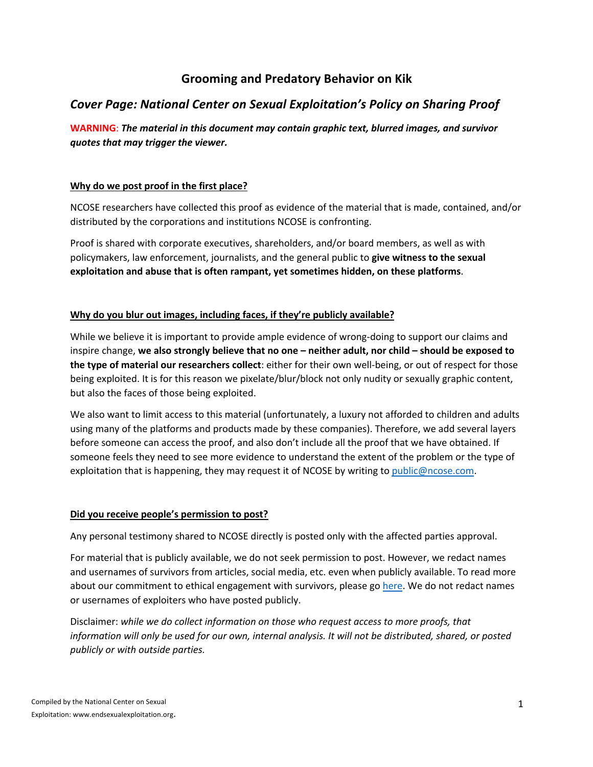# **Grooming and Predatory Behavior on Kik**

# *Cover Page: National Center on Sexual Exploitation's Policy on Sharing Proof*

**WARNING**: *The material in this document may contain graphic text, blurred images, and survivor quotes that may trigger the viewer.* 

### **Why do we post proof in the first place?**

NCOSE researchers have collected this proof as evidence of the material that is made, contained, and/or distributed by the corporations and institutions NCOSE is confronting.

Proof is shared with corporate executives, shareholders, and/or board members, as well as with policymakers, law enforcement, journalists, and the general public to **give witness to the sexual exploitation and abuse that is often rampant, yet sometimes hidden, on these platforms**.

### **Why do you blur out images, including faces, if they're publicly available?**

While we believe it is important to provide ample evidence of wrong-doing to support our claims and inspire change, **we also strongly believe that no one – neither adult, nor child – should be exposed to the type of material our researchers collect**: either for their own well-being, or out of respect for those being exploited. It is for this reason we pixelate/blur/block not only nudity or sexually graphic content, but also the faces of those being exploited.

We also want to limit access to this material (unfortunately, a luxury not afforded to children and adults using many of the platforms and products made by these companies). Therefore, we add several layers before someone can access the proof, and also don't include all the proof that we have obtained. If someone feels they need to see more evidence to understand the extent of the problem or the type of exploitation that is happening, they may request it of NCOSE by writing to public@ncose.com.

## **Did you receive people's permission to post?**

Any personal testimony shared to NCOSE directly is posted only with the affected parties approval.

For material that is publicly available, we do not seek permission to post. However, we redact names and usernames of survivors from articles, social media, etc. even when publicly available. To read more about our commitment to ethical engagement with survivors, please go here. We do not redact names or usernames of exploiters who have posted publicly.

Disclaimer: *while we do collect information on those who request access to more proofs, that information will only be used for our own, internal analysis. It will not be distributed, shared, or posted publicly or with outside parties.*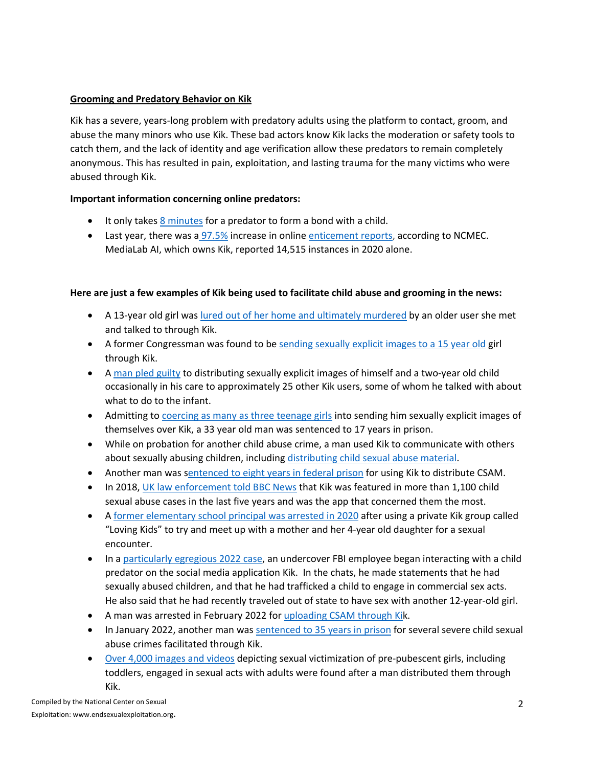# **Grooming and Predatory Behavior on Kik**

Kik has a severe, years-long problem with predatory adults using the platform to contact, groom, and abuse the many minors who use Kik. These bad actors know Kik lacks the moderation or safety tools to catch them, and the lack of identity and age verification allow these predators to remain completely anonymous. This has resulted in pain, exploitation, and lasting trauma for the many victims who were abused through Kik.

# **Important information concerning online predators:**

- It only takes 8 minutes for a predator to form a bond with a child.
- Last year, there was a 97.5% increase in online enticement reports, according to NCMEC. MediaLab AI, which owns Kik, reported 14,515 instances in 2020 alone.

# **Here are just a few examples of Kik being used to facilitate child abuse and grooming in the news:**

- A 13-year old girl was lured out of her home and ultimately murdered by an older user she met and talked to through Kik.
- A former Congressman was found to be sending sexually explicit images to a 15 year old girl through Kik.
- A man pled guilty to distributing sexually explicit images of himself and a two-year old child occasionally in his care to approximately 25 other Kik users, some of whom he talked with about what to do to the infant.
- Admitting to coercing as many as three teenage girls into sending him sexually explicit images of themselves over Kik, a 33 year old man was sentenced to 17 years in prison.
- While on probation for another child abuse crime, a man used Kik to communicate with others about sexually abusing children, including distributing child sexual abuse material.
- Another man was sentenced to eight years in federal prison for using Kik to distribute CSAM.
- In 2018, UK law enforcement told BBC News that Kik was featured in more than 1,100 child sexual abuse cases in the last five years and was the app that concerned them the most.
- A former elementary school principal was arrested in 2020 after using a private Kik group called "Loving Kids" to try and meet up with a mother and her 4-year old daughter for a sexual encounter.
- In a particularly egregious 2022 case, an undercover FBI employee began interacting with a child predator on the social media application Kik. In the chats, he made statements that he had sexually abused children, and that he had trafficked a child to engage in commercial sex acts. He also said that he had recently traveled out of state to have sex with another 12-year-old girl.
- A man was arrested in February 2022 for uploading CSAM through Kik.
- In January 2022, another man was sentenced to 35 years in prison for several severe child sexual abuse crimes facilitated through Kik.
- Over 4,000 images and videos depicting sexual victimization of pre-pubescent girls, including toddlers, engaged in sexual acts with adults were found after a man distributed them through Kik.